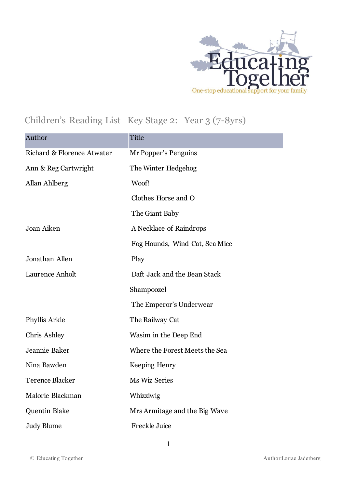

## Children's Reading List Key Stage 2: Year 3 (7-8yrs)

| Author                     | Title                          |
|----------------------------|--------------------------------|
| Richard & Florence Atwater | Mr Popper's Penguins           |
| Ann & Reg Cartwright       | The Winter Hedgehog            |
| Allan Ahlberg              | Woof!                          |
|                            | Clothes Horse and O            |
|                            | The Giant Baby                 |
| Joan Aiken                 | A Necklace of Raindrops        |
|                            | Fog Hounds, Wind Cat, Sea Mice |
| Jonathan Allen             | Play                           |
| Laurence Anholt            | Daft Jack and the Bean Stack   |
|                            | Shampoozel                     |
|                            | The Emperor's Underwear        |
| Phyllis Arkle              | The Railway Cat                |
| Chris Ashley               | Wasim in the Deep End          |
| Jeannie Baker              | Where the Forest Meets the Sea |
| Nina Bawden                | Keeping Henry                  |
| <b>Terence Blacker</b>     | Ms Wiz Series                  |
| Malorie Blackman           | Whizziwig                      |
| Quentin Blake              | Mrs Armitage and the Big Wave  |
| <b>Judy Blume</b>          | Freckle Juice                  |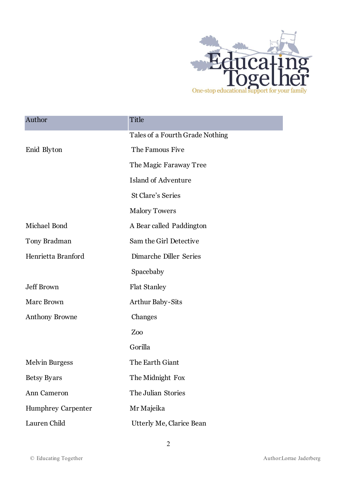

| Author                    | Title                           |
|---------------------------|---------------------------------|
|                           | Tales of a Fourth Grade Nothing |
| Enid Blyton               | The Famous Five                 |
|                           | The Magic Faraway Tree          |
|                           | <b>Island of Adventure</b>      |
|                           | <b>St Clare's Series</b>        |
|                           | <b>Malory Towers</b>            |
| Michael Bond              | A Bear called Paddington        |
| Tony Bradman              | Sam the Girl Detective          |
| Henrietta Branford        | Dimarche Diller Series          |
|                           | Spacebaby                       |
| <b>Jeff Brown</b>         | <b>Flat Stanley</b>             |
| <b>Marc Brown</b>         | <b>Arthur Baby-Sits</b>         |
| <b>Anthony Browne</b>     | Changes                         |
|                           | Zoo                             |
|                           | Gorilla                         |
| <b>Melvin Burgess</b>     | The Earth Giant                 |
| <b>Betsy Byars</b>        | The Midnight Fox                |
| Ann Cameron               | The Julian Stories              |
| <b>Humphrey Carpenter</b> | Mr Majeika                      |
| Lauren Child              | <b>Utterly Me, Clarice Bean</b> |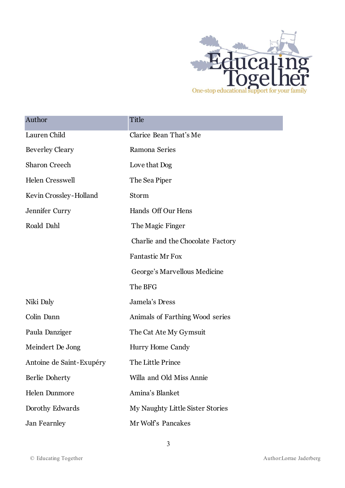

| Author                   | Title                             |
|--------------------------|-----------------------------------|
| Lauren Child             | Clarice Bean That's Me            |
| <b>Beverley Cleary</b>   | Ramona Series                     |
| <b>Sharon Creech</b>     | Love that Dog                     |
| <b>Helen Cresswell</b>   | The Sea Piper                     |
| Kevin Crossley-Holland   | Storm                             |
| Jennifer Curry           | Hands Off Our Hens                |
| Roald Dahl               | The Magic Finger                  |
|                          | Charlie and the Chocolate Factory |
|                          | <b>Fantastic Mr Fox</b>           |
|                          | George's Marvellous Medicine      |
|                          | The BFG                           |
| Niki Daly                | Jamela's Dress                    |
| Colin Dann               | Animals of Farthing Wood series   |
| Paula Danziger           | The Cat Ate My Gymsuit            |
| Meindert De Jong         | Hurry Home Candy                  |
| Antoine de Saint-Exupéry | The Little Prince                 |
| Berlie Doherty           | Willa and Old Miss Annie          |
| <b>Helen Dunmore</b>     | Amina's Blanket                   |
| Dorothy Edwards          | My Naughty Little Sister Stories  |
| Jan Fearnley             | Mr Wolf's Pancakes                |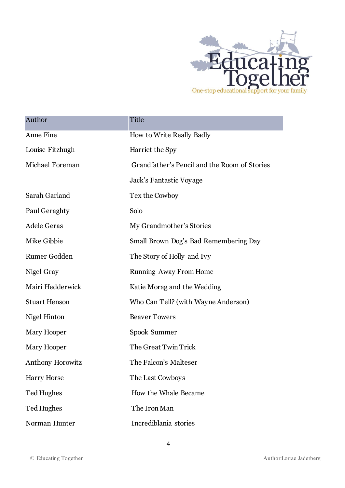

| Author               | Title                                        |
|----------------------|----------------------------------------------|
| Anne Fine            | How to Write Really Badly                    |
| Louise Fitzhugh      | Harriet the Spy                              |
| Michael Foreman      | Grandfather's Pencil and the Room of Stories |
|                      | Jack's Fantastic Voyage                      |
| Sarah Garland        | Tex the Cowboy                               |
| Paul Geraghty        | Solo                                         |
| <b>Adele Geras</b>   | My Grandmother's Stories                     |
| Mike Gibbie          | Small Brown Dog's Bad Remembering Day        |
| Rumer Godden         | The Story of Holly and Ivy                   |
| Nigel Gray           | Running Away From Home                       |
| Mairi Hedderwick     | Katie Morag and the Wedding                  |
| <b>Stuart Henson</b> | Who Can Tell? (with Wayne Anderson)          |
| Nigel Hinton         | <b>Beaver Towers</b>                         |
| Mary Hooper          | Spook Summer                                 |
| Mary Hooper          | The Great Twin Trick                         |
| Anthony Horowitz     | The Falcon's Malteser                        |
| <b>Harry Horse</b>   | The Last Cowboys                             |
| <b>Ted Hughes</b>    | How the Whale Became                         |
| Ted Hughes           | The Iron Man                                 |
| Norman Hunter        | Incrediblania stories                        |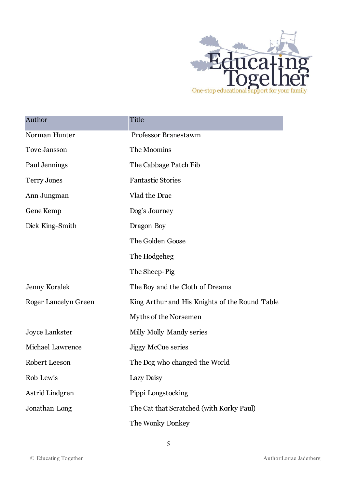

| Author                  | Title                                          |
|-------------------------|------------------------------------------------|
| Norman Hunter           | <b>Professor Branestawm</b>                    |
| Tove Jansson            | The Moomins                                    |
| Paul Jennings           | The Cabbage Patch Fib                          |
| <b>Terry Jones</b>      | <b>Fantastic Stories</b>                       |
| Ann Jungman             | Vlad the Drac                                  |
| Gene Kemp               | Dog's Journey                                  |
| Dick King-Smith         | Dragon Boy                                     |
|                         | The Golden Goose                               |
|                         | The Hodgeheg                                   |
|                         | The Sheep-Pig                                  |
| <b>Jenny Koralek</b>    | The Boy and the Cloth of Dreams                |
| Roger Lancelyn Green    | King Arthur and His Knights of the Round Table |
|                         | Myths of the Norsemen                          |
| <b>Joyce Lankster</b>   | Milly Molly Mandy series                       |
| <b>Michael Lawrence</b> | <b>Jiggy McCue series</b>                      |
| Robert Leeson           | The Dog who changed the World                  |
| Rob Lewis               | Lazy Daisy                                     |
| Astrid Lindgren         | Pippi Longstocking                             |
| Jonathan Long           | The Cat that Scratched (with Korky Paul)       |
|                         | The Wonky Donkey                               |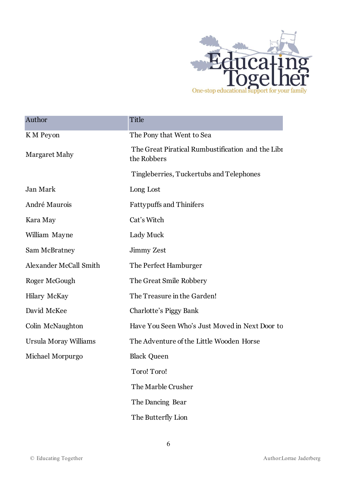

| Author                        | Title                                                            |
|-------------------------------|------------------------------------------------------------------|
| K M Peyon                     | The Pony that Went to Sea                                        |
| Margaret Mahy                 | The Great Piratical Rumbustification and the Libr<br>the Robbers |
|                               | Tingleberries, Tuckertubs and Telephones                         |
| Jan Mark                      | Long Lost                                                        |
| André Maurois                 | <b>Fattypuffs and Thinifers</b>                                  |
| Kara May                      | Cat's Witch                                                      |
| William Mayne                 | Lady Muck                                                        |
| Sam McBratney                 | Jimmy Zest                                                       |
| <b>Alexander McCall Smith</b> | The Perfect Hamburger                                            |
| Roger McGough                 | The Great Smile Robbery                                          |
| <b>Hilary McKay</b>           | The Treasure in the Garden!                                      |
| David McKee                   | Charlotte's Piggy Bank                                           |
| Colin McNaughton              | Have You Seen Who's Just Moved in Next Door to                   |
| Ursula Moray Williams         | The Adventure of the Little Wooden Horse                         |
| Michael Morpurgo              | <b>Black Queen</b>                                               |
|                               | Toro! Toro!                                                      |
|                               | The Marble Crusher                                               |
|                               | The Dancing Bear                                                 |
|                               | The Butterfly Lion                                               |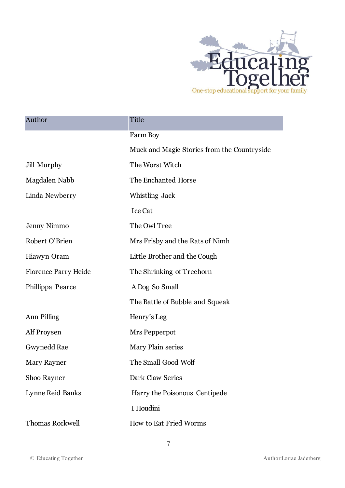

ī

| Author                      | Title                                       |
|-----------------------------|---------------------------------------------|
|                             | Farm Boy                                    |
|                             | Muck and Magic Stories from the Countryside |
| Jill Murphy                 | The Worst Witch                             |
| Magdalen Nabb               | The Enchanted Horse                         |
| Linda Newberry              | Whistling Jack                              |
|                             | <b>Ice Cat</b>                              |
| Jenny Nimmo                 | The Owl Tree                                |
| Robert O'Brien              | Mrs Frisby and the Rats of Nimh             |
| Hiawyn Oram                 | Little Brother and the Cough                |
| <b>Florence Parry Heide</b> | The Shrinking of Treehorn                   |
| Phillippa Pearce            | A Dog So Small                              |
|                             | The Battle of Bubble and Squeak             |
| Ann Pilling                 | Henry's Leg                                 |
| Alf Proysen                 | Mrs Pepperpot                               |
| Gwynedd Rae                 | Mary Plain series                           |
| Mary Rayner                 | The Small Good Wolf                         |
| Shoo Rayner                 | Dark Claw Series                            |
| Lynne Reid Banks            | Harry the Poisonous Centipede               |
|                             | I Houdini                                   |
| <b>Thomas Rockwell</b>      | How to Eat Fried Worms                      |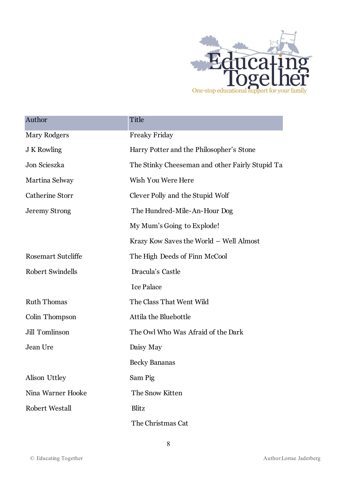

| Author                    | Title                                           |
|---------------------------|-------------------------------------------------|
| <b>Mary Rodgers</b>       | <b>Freaky Friday</b>                            |
| J K Rowling               | Harry Potter and the Philosopher's Stone        |
| Jon Scieszka              | The Stinky Cheeseman and other Fairly Stupid Ta |
| Martina Selway            | Wish You Were Here                              |
| <b>Catherine Storr</b>    | Clever Polly and the Stupid Wolf                |
| <b>Jeremy Strong</b>      | The Hundred-Mile-An-Hour Dog                    |
|                           | My Mum's Going to Explode!                      |
|                           | Krazy Kow Saves the World - Well Almost         |
| <b>Rosemart Sutcliffe</b> | The High Deeds of Finn McCool                   |
| <b>Robert Swindells</b>   | Dracula's Castle                                |
|                           | <b>Ice Palace</b>                               |
| <b>Ruth Thomas</b>        | The Class That Went Wild                        |
| Colin Thompson            | Attila the Bluebottle                           |
| Jill Tomlinson            | The Owl Who Was Afraid of the Dark              |
| Jean Ure                  | Daisy May                                       |
|                           | <b>Becky Bananas</b>                            |
| Alison Uttley             | Sam Pig                                         |
| Nina Warner Hooke         | The Snow Kitten                                 |
| <b>Robert Westall</b>     | Blitz                                           |
|                           | The Christmas Cat                               |